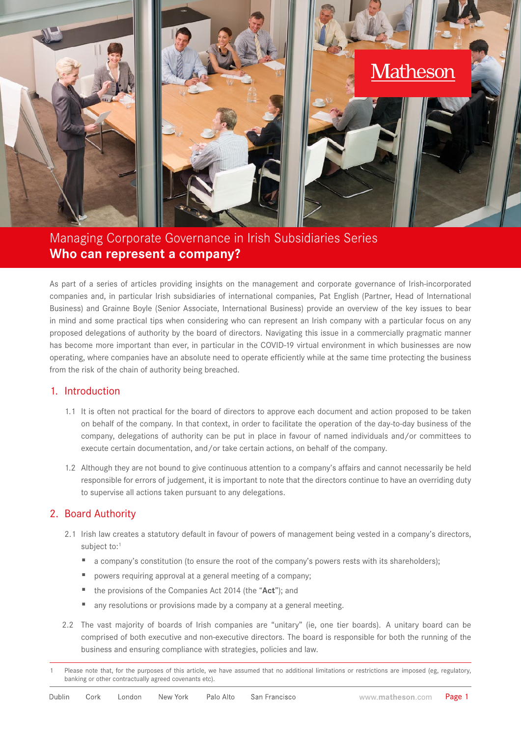

Managing Corporate Governance in Irish Subsidiaries Series **Who can represent a company?**

As part of a series of articles providing insights on the management and corporate governance of Irish-incorporated companies and, in particular Irish subsidiaries of international companies, Pat English (Partner, Head of International Business) and Grainne Boyle (Senior Associate, International Business) provide an overview of the key issues to bear in mind and some practical tips when considering who can represent an Irish company with a particular focus on any proposed delegations of authority by the board of directors. Navigating this issue in a commercially pragmatic manner has become more important than ever, in particular in the COVID-19 virtual environment in which businesses are now operating, where companies have an absolute need to operate efficiently while at the same time protecting the business from the risk of the chain of authority being breached.

### 1. Introduction

- 1.1 It is often not practical for the board of directors to approve each document and action proposed to be taken on behalf of the company. In that context, in order to facilitate the operation of the day-to-day business of the company, delegations of authority can be put in place in favour of named individuals and/or committees to execute certain documentation, and/or take certain actions, on behalf of the company.
- 1.2 Although they are not bound to give continuous attention to a company's affairs and cannot necessarily be held responsible for errors of judgement, it is important to note that the directors continue to have an overriding duty to supervise all actions taken pursuant to any delegations.

## 2. Board Authority

- 2.1 Irish law creates a statutory default in favour of powers of management being vested in a company's directors, subject to:<sup>1</sup>
	- a company's constitution (to ensure the root of the company's powers rests with its shareholders);
	- powers requiring approval at a general meeting of a company;
	- the provisions of the Companies Act 2014 (the "Act"); and
	- any resolutions or provisions made by a company at a general meeting.
- 2.2 The vast majority of boards of Irish companies are "unitary" (ie, one tier boards). A unitary board can be comprised of both executive and non-executive directors. The board is responsible for both the running of the business and ensuring compliance with strategies, policies and law.

Please note that, for the purposes of this article, we have assumed that no additional limitations or restrictions are imposed (eg, regulatory, banking or other contractually agreed covenants etc).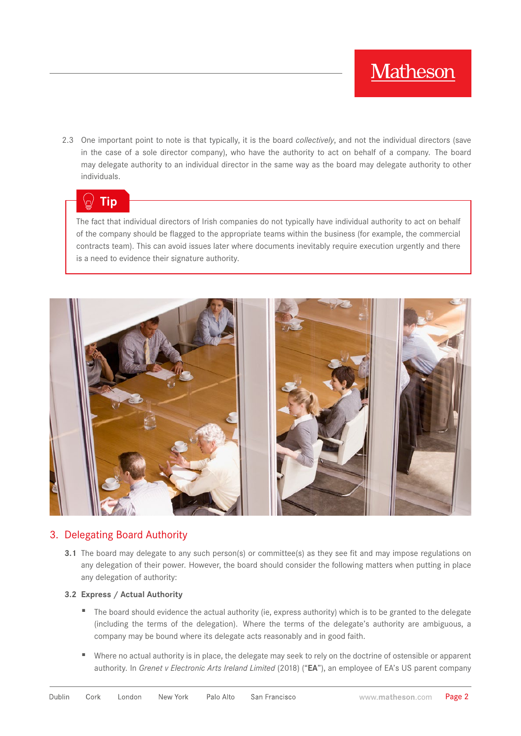2.3 One important point to note is that typically, it is the board *collectively*, and not the individual directors (save in the case of a sole director company), who have the authority to act on behalf of a company. The board may delegate authority to an individual director in the same way as the board may delegate authority to other individuals.

# **Tip**

The fact that individual directors of Irish companies do not typically have individual authority to act on behalf of the company should be flagged to the appropriate teams within the business (for example, the commercial contracts team). This can avoid issues later where documents inevitably require execution urgently and there is a need to evidence their signature authority.



## 3. Delegating Board Authority

**3.1** The board may delegate to any such person(s) or committee(s) as they see fit and may impose regulations on any delegation of their power. However, the board should consider the following matters when putting in place any delegation of authority:

### **3.2 Express / Actual Authority**

- The board should evidence the actual authority (ie, express authority) which is to be granted to the delegate (including the terms of the delegation). Where the terms of the delegate's authority are ambiguous, a company may be bound where its delegate acts reasonably and in good faith.
- Where no actual authority is in place, the delegate may seek to rely on the doctrine of ostensible or apparent authority. In *Grenet v Electronic Arts Ireland Limited* (2018) ("**EA**"), an employee of EA's US parent company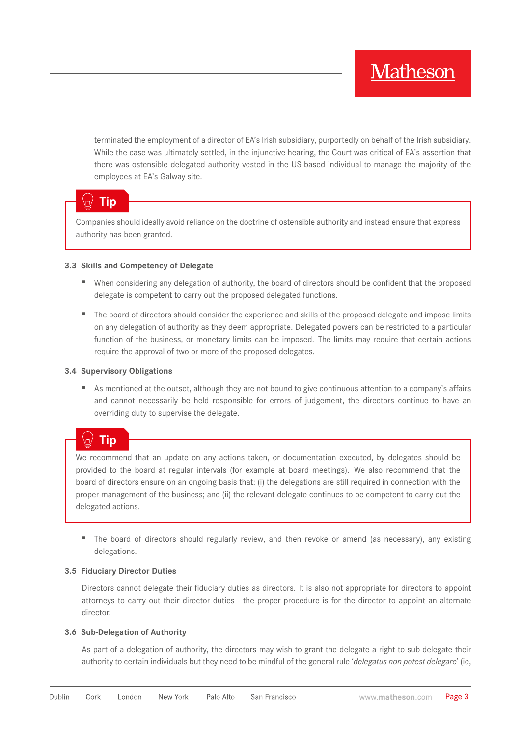terminated the employment of a director of EA's Irish subsidiary, purportedly on behalf of the Irish subsidiary. While the case was ultimately settled, in the injunctive hearing, the Court was critical of EA's assertion that there was ostensible delegated authority vested in the US-based individual to manage the majority of the employees at EA's Galway site.

## **Tip**

Companies should ideally avoid reliance on the doctrine of ostensible authority and instead ensure that express authority has been granted.

#### **3.3 Skills and Competency of Delegate**

- When considering any delegation of authority, the board of directors should be confident that the proposed delegate is competent to carry out the proposed delegated functions.
- The board of directors should consider the experience and skills of the proposed delegate and impose limits on any delegation of authority as they deem appropriate. Delegated powers can be restricted to a particular function of the business, or monetary limits can be imposed. The limits may require that certain actions require the approval of two or more of the proposed delegates.

#### **3.4 Supervisory Obligations**

■ As mentioned at the outset, although they are not bound to give continuous attention to a company's affairs and cannot necessarily be held responsible for errors of judgement, the directors continue to have an overriding duty to supervise the delegate.

#### m **Tip**

We recommend that an update on any actions taken, or documentation executed, by delegates should be provided to the board at regular intervals (for example at board meetings). We also recommend that the board of directors ensure on an ongoing basis that: (i) the delegations are still required in connection with the proper management of the business; and (ii) the relevant delegate continues to be competent to carry out the delegated actions.

■ The board of directors should regularly review, and then revoke or amend (as necessary), any existing delegations.

#### **3.5 Fiduciary Director Duties**

Directors cannot delegate their fiduciary duties as directors. It is also not appropriate for directors to appoint attorneys to carry out their director duties - the proper procedure is for the director to appoint an alternate director.

#### **3.6 Sub-Delegation of Authority**

As part of a delegation of authority, the directors may wish to grant the delegate a right to sub-delegate their authority to certain individuals but they need to be mindful of the general rule '*delegatus non potest delegare*' (ie,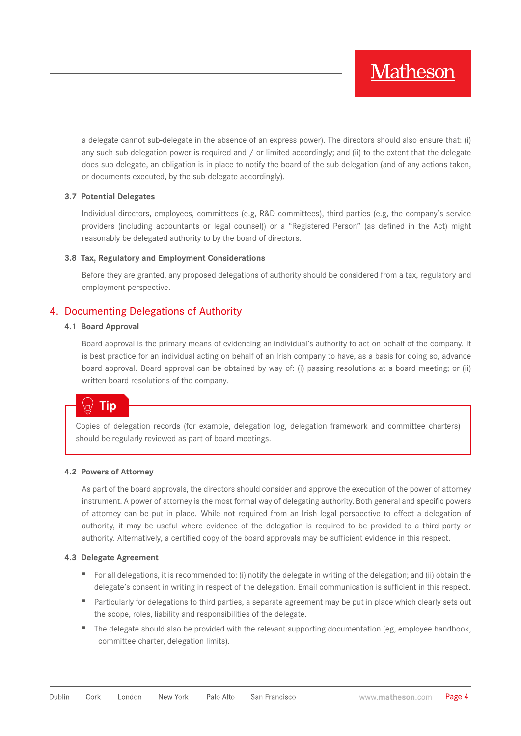a delegate cannot sub-delegate in the absence of an express power). The directors should also ensure that: (i) any such sub-delegation power is required and / or limited accordingly; and (ii) to the extent that the delegate does sub-delegate, an obligation is in place to notify the board of the sub-delegation (and of any actions taken, or documents executed, by the sub-delegate accordingly).

#### **3.7 Potential Delegates**

Individual directors, employees, committees (e.g, R&D committees), third parties (e.g, the company's service providers (including accountants or legal counsel)) or a "Registered Person" (as defined in the Act) might reasonably be delegated authority to by the board of directors.

#### **3.8 Tax, Regulatory and Employment Considerations**

Before they are granted, any proposed delegations of authority should be considered from a tax, regulatory and employment perspective.

## 4. Documenting Delegations of Authority

#### **4.1 Board Approval**

Board approval is the primary means of evidencing an individual's authority to act on behalf of the company. It is best practice for an individual acting on behalf of an Irish company to have, as a basis for doing so, advance board approval. Board approval can be obtained by way of: (i) passing resolutions at a board meeting; or (ii) written board resolutions of the company.

## **Tip**

Copies of delegation records (for example, delegation log, delegation framework and committee charters) should be regularly reviewed as part of board meetings.

#### **4.2 Powers of Attorney**

As part of the board approvals, the directors should consider and approve the execution of the power of attorney instrument. A power of attorney is the most formal way of delegating authority. Both general and specific powers of attorney can be put in place. While not required from an Irish legal perspective to effect a delegation of authority, it may be useful where evidence of the delegation is required to be provided to a third party or authority. Alternatively, a certified copy of the board approvals may be sufficient evidence in this respect.

#### **4.3 Delegate Agreement**

- For all delegations, it is recommended to: (i) notify the delegate in writing of the delegation; and (ii) obtain the delegate's consent in writing in respect of the delegation. Email communication is sufficient in this respect.
- Particularly for delegations to third parties, a separate agreement may be put in place which clearly sets out the scope, roles, liability and responsibilities of the delegate.
- The delegate should also be provided with the relevant supporting documentation (eg, employee handbook, committee charter, delegation limits).